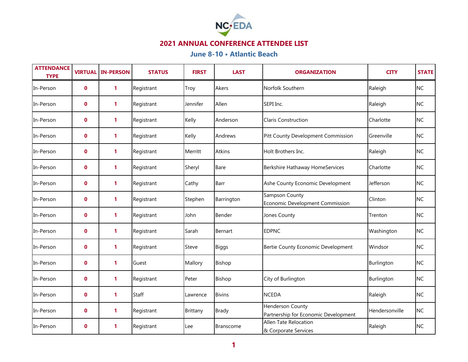

| <b>ATTENDANCE</b><br><b>TYPE</b> |             | <b>VIRTUAL IN-PERSON</b> | <b>STATUS</b> | <b>FIRST</b> | <b>LAST</b>      | <b>ORGANIZATION</b>                                      | <b>CITY</b>    | <b>STATE</b> |
|----------------------------------|-------------|--------------------------|---------------|--------------|------------------|----------------------------------------------------------|----------------|--------------|
| In-Person                        | $\mathbf 0$ | 1                        | Registrant    | Troy         | Akers            | Norfolk Southern                                         | Raleigh        | <b>NC</b>    |
| In-Person                        | $\mathbf 0$ | $\mathbf{1}$             | Registrant    | Jennifer     | Allen            | SEPI Inc.                                                | Raleigh        | <b>NC</b>    |
| In-Person                        | 0           | 1                        | Registrant    | Kelly        | Anderson         | <b>Claris Construction</b>                               | Charlotte      | <b>NC</b>    |
| In-Person                        | $\mathbf 0$ | 1                        | Registrant    | Kelly        | Andrews          | Pitt County Development Commission                       | Greenville     | <b>NC</b>    |
| In-Person                        | $\mathbf 0$ | 1                        | Registrant    | Merritt      | <b>Atkins</b>    | Holt Brothers Inc.                                       | Raleigh        | <b>NC</b>    |
| In-Person                        | $\mathbf 0$ | 1                        | Registrant    | Sheryl       | <b>Bare</b>      | Berkshire Hathaway HomeServices                          | Charlotte      | <b>NC</b>    |
| In-Person                        | 0           | $\mathbf{1}$             | Registrant    | Cathy        | <b>Barr</b>      | Ashe County Economic Development                         | Jefferson      | <b>NC</b>    |
| In-Person                        | 0           | 1                        | Registrant    | Stephen      | Barrington       | Sampson County<br>Economic Development Commission        | Clinton        | <b>NC</b>    |
| In-Person                        | $\mathbf 0$ | 1                        | Registrant    | John         | Bender           | Jones County                                             | Trenton        | <b>NC</b>    |
| In-Person                        | $\mathbf 0$ | 1                        | Registrant    | Sarah        | Bernart          | <b>EDPNC</b>                                             | Washington     | <b>NC</b>    |
| In-Person                        | $\mathbf 0$ | 1                        | Registrant    | Steve        | <b>Biggs</b>     | Bertie County Economic Development                       | Windsor        | <b>NC</b>    |
| In-Person                        | $\mathbf 0$ | $\mathbf{1}$             | Guest         | Mallory      | Bishop           |                                                          | Burlington     | <b>NC</b>    |
| In-Person                        | 0           | 1                        | Registrant    | Peter        | Bishop           | City of Burlington                                       | Burlington     | <b>NC</b>    |
| In-Person                        | 0           | $\mathbf{1}$             | Staff         | Lawrence     | <b>Bivins</b>    | <b>NCEDA</b>                                             | Raleigh        | <b>NC</b>    |
| In-Person                        | $\mathbf 0$ | 1                        | Registrant    | Brittany     | <b>Brady</b>     | Henderson County<br>Partnership for Economic Development | Hendersonville | <b>NC</b>    |
| In-Person                        | $\mathbf 0$ | 1                        | Registrant    | Lee          | <b>Branscome</b> | Allen Tate Relocation<br>& Corporate Services            | Raleigh        | <b>NC</b>    |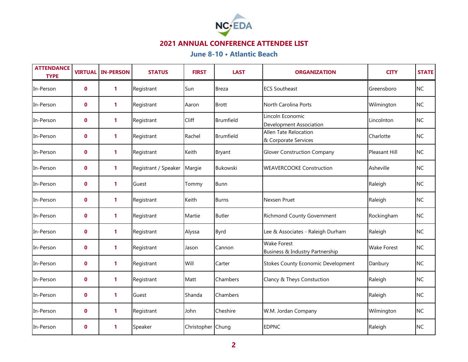

| <b>ATTENDANCE</b><br><b>TYPE</b> | <b>VIRTUAL</b> | <b>IN-PERSON</b> | <b>STATUS</b>                 | <b>FIRST</b>      | <b>LAST</b>      | <b>ORGANIZATION</b>                                   | <b>CITY</b>        | <b>STATE</b> |
|----------------------------------|----------------|------------------|-------------------------------|-------------------|------------------|-------------------------------------------------------|--------------------|--------------|
| In-Person                        | $\mathbf 0$    | 1                | Registrant                    | Sun               | Breza            | <b>ECS Southeast</b>                                  | Greensboro         | <b>NC</b>    |
| In-Person                        | $\mathbf 0$    | 1                | Registrant                    | Aaron             | <b>Brott</b>     | North Carolina Ports                                  | Wilmington         | <b>NC</b>    |
| In-Person                        | 0              | 1                | Registrant                    | Cliff             | <b>Brumfield</b> | Lincoln Economic<br>Development Association           | Lincolnton         | <b>NC</b>    |
| In-Person                        | $\mathbf 0$    | 1                | Registrant                    | Rachel            | Brumfield        | Allen Tate Relocation<br>& Corporate Services         | Charlotte          | <b>NC</b>    |
| In-Person                        | 0              | 1                | Registrant                    | Keith             | Bryant           | <b>Glover Construction Company</b>                    | Pleasant Hill      | <b>NC</b>    |
| In-Person                        | $\mathbf 0$    | 1                | Registrant / Speaker   Margie |                   | <b>Bukowski</b>  | <b>WEAVERCOOKE Construction</b>                       | Asheville          | <b>NC</b>    |
| In-Person                        | $\mathbf 0$    | $\mathbf{1}$     | Guest                         | Tommy             | Bunn             |                                                       | Raleigh            | <b>NC</b>    |
| In-Person                        | 0              | 1                | Registrant                    | Keith             | Burns            | Nexsen Pruet                                          | Raleigh            | <b>NC</b>    |
| In-Person                        | 0              | 1                | Registrant                    | Martie            | <b>Butler</b>    | <b>Richmond County Government</b>                     | Rockingham         | <b>NC</b>    |
| In-Person                        | 0              | 1                | Registrant                    | Alyssa            | Byrd             | Lee & Associates - Raleigh Durham                     | Raleigh            | <b>NC</b>    |
| In-Person                        | $\mathbf 0$    | 1                | Registrant                    | Jason             | Cannon           | <b>Wake Forest</b><br>Business & Industry Partnership | <b>Wake Forest</b> | <b>NC</b>    |
| In-Person                        | $\mathbf 0$    | $\mathbf{1}$     | Registrant                    | Will              | Carter           | <b>Stokes County Economic Development</b>             | Danbury            | <b>NC</b>    |
| In-Person                        | 0              | 1                | Registrant                    | Matt              | Chambers         | Clancy & Theys Constuction                            | Raleigh            | <b>NC</b>    |
| In-Person                        | $\mathbf 0$    | $\mathbf{1}$     | Guest                         | Shanda            | Chambers         |                                                       | Raleigh            | <b>NC</b>    |
| In-Person                        | $\mathbf 0$    | 1                | Registrant                    | John              | Cheshire         | W.M. Jordan Company                                   | Wilmington         | NC           |
| In-Person                        | $\mathbf 0$    | 1                | Speaker                       | Christopher Chung |                  | <b>EDPNC</b>                                          | Raleigh            | <b>NC</b>    |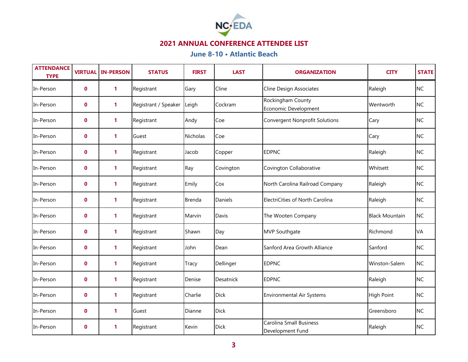

| <b>ATTENDANCE</b><br><b>TYPE</b> | <b>VIRTUAL</b> | <b>IN-PERSON</b> | <b>STATUS</b>        | <b>FIRST</b>    | <b>LAST</b>      | <b>ORGANIZATION</b>                         | <b>CITY</b>           | <b>STATE</b> |
|----------------------------------|----------------|------------------|----------------------|-----------------|------------------|---------------------------------------------|-----------------------|--------------|
| In-Person                        | $\mathbf 0$    | $\mathbf{1}$     | Registrant           | Gary            | Cline            | Cline Design Associates                     | Raleigh               | <b>NC</b>    |
| In-Person                        | $\mathbf 0$    | 1                | Registrant / Speaker | Leigh           | Cockram          | Rockingham County<br>Economic Development   | Wentworth             | <b>NC</b>    |
| In-Person                        | $\mathbf 0$    | 1                | Registrant           | Andy            | Coe              | <b>Convergent Nonprofit Solutions</b>       | Cary                  | <b>NC</b>    |
| In-Person                        | $\mathbf 0$    | $\mathbf{1}$     | Guest                | <b>Nicholas</b> | Coe              |                                             | Cary                  | <b>NC</b>    |
| In-Person                        | 0              | 1                | Registrant           | Jacob           | Copper           | <b>EDPNC</b>                                | Raleigh               | <b>NC</b>    |
| In-Person                        | $\mathbf 0$    | $\mathbf{1}$     | Registrant           | Ray             | Covington        | Covington Collaborative                     | Whitsett              | <b>NC</b>    |
| In-Person                        | $\mathbf 0$    | 1                | Registrant           | Emily           | Cox              | North Carolina Railroad Company             | Raleigh               | <b>NC</b>    |
| In-Person                        | 0              | 1                | Registrant           | Brenda          | Daniels          | ElectriCities of North Carolina             | Raleigh               | <b>NC</b>    |
| In-Person                        | $\mathbf{0}$   | $\mathbf{1}$     | Registrant           | Marvin          | <b>Davis</b>     | The Wooten Company                          | <b>Black Mountain</b> | <b>NC</b>    |
| In-Person                        | $\mathbf 0$    | 1                | Registrant           | Shawn           | Day              | <b>MVP Southgate</b>                        | Richmond              | VA           |
| In-Person                        | $\mathbf 0$    | $\mathbf{1}$     | Registrant           | John            | Dean             | Sanford Area Growth Alliance                | Sanford               | <b>NC</b>    |
| In-Person                        | $\mathbf{0}$   | 1                | Registrant           | Tracy           | Dellinger        | <b>EDPNC</b>                                | Winston-Salem         | <b>NC</b>    |
| In-Person                        | $\mathbf 0$    | $\mathbf{1}$     | Registrant           | Denise          | <b>Desatnick</b> | <b>EDPNC</b>                                | Raleigh               | <b>NC</b>    |
| In-Person                        | $\mathbf 0$    | $\mathbf{1}$     | Registrant           | Charlie         | <b>Dick</b>      | <b>Environmental Air Systems</b>            | <b>High Point</b>     | <b>NC</b>    |
| In-Person                        | 0              | 1                | Guest                | Dianne          | <b>Dick</b>      |                                             | Greensboro            | <b>NC</b>    |
| In-Person                        | $\mathbf 0$    | $\mathbf{1}$     | Registrant           | Kevin           | <b>Dick</b>      | Carolina Small Business<br>Development Fund | Raleigh               | <b>NC</b>    |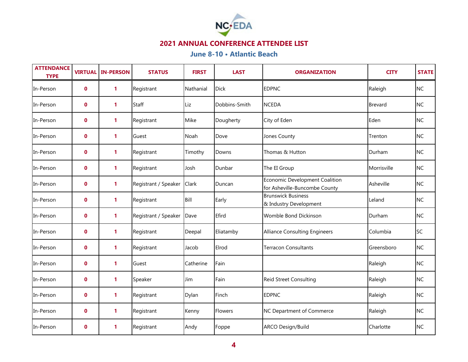

| <b>ATTENDANCE</b><br><b>TYPE</b> | <b>VIRTUAL</b> | <b>IN-PERSON</b> | <b>STATUS</b>        | <b>FIRST</b> | <b>LAST</b>    | <b>ORGANIZATION</b>                                             | <b>CITY</b>    | <b>STATE</b> |
|----------------------------------|----------------|------------------|----------------------|--------------|----------------|-----------------------------------------------------------------|----------------|--------------|
| In-Person                        | $\mathbf 0$    | $\mathbf{1}$     | Registrant           | Nathanial    | <b>Dick</b>    | <b>EDPNC</b>                                                    | Raleigh        | <b>NC</b>    |
| In-Person                        | $\mathbf 0$    | $\mathbf{1}$     | Staff                | Liz          | Dobbins-Smith  | <b>NCEDA</b>                                                    | <b>Brevard</b> | <b>NC</b>    |
| In-Person                        | $\mathbf 0$    | 1                | Registrant           | Mike         | Dougherty      | City of Eden                                                    | Eden           | <b>NC</b>    |
| In-Person                        | 0              | $\mathbf{1}$     | Guest                | Noah         | Dove           | Jones County                                                    | Trenton        | <b>NC</b>    |
| In-Person                        | $\mathbf 0$    | 1                | Registrant           | Timothy      | Downs          | Thomas & Hutton                                                 | Durham         | <b>NC</b>    |
| In-Person                        | $\mathbf 0$    | $\mathbf{1}$     | Registrant           | Josh         | Dunbar         | The EI Group                                                    | Morrisville    | <b>NC</b>    |
| In-Person                        | $\mathbf{0}$   | $\mathbf{1}$     | Registrant / Speaker | Clark        | Duncan         | Economic Development Coalition<br>for Asheville-Buncombe County | Asheville      | <b>NC</b>    |
| In-Person                        | 0              | $\mathbf{1}$     | Registrant           | Bill         | Early          | <b>Brunswick Business</b><br>& Industry Development             | Leland         | <b>NC</b>    |
| In-Person                        | $\mathbf 0$    | $\mathbf{1}$     | Registrant / Speaker | Dave         | Efird          | Womble Bond Dickinson                                           | Durham         | <b>NC</b>    |
| In-Person                        | $\mathbf 0$    | $\mathbf{1}$     | Registrant           | Deepal       | Eliatamby      | <b>Alliance Consulting Engineers</b>                            | Columbia       | <b>SC</b>    |
| In-Person                        | $\mathbf 0$    | $\mathbf{1}$     | Registrant           | Jacob        | Elrod          | Terracon Consultants                                            | Greensboro     | <b>NC</b>    |
| In-Person                        | $\mathbf 0$    | 1                | Guest                | Catherine    | Fain           |                                                                 | Raleigh        | <b>NC</b>    |
| In-Person                        | 0              | 1                | Speaker              | Jim          | Fain           | <b>Reid Street Consulting</b>                                   | Raleigh        | <b>NC</b>    |
| In-Person                        | $\mathbf 0$    | $\mathbf{1}$     | Registrant           | Dylan        | Finch          | <b>EDPNC</b>                                                    | Raleigh        | <b>NC</b>    |
| In-Person                        | 0              | 1                | Registrant           | Kenny        | <b>Flowers</b> | NC Department of Commerce                                       | Raleigh        | <b>NC</b>    |
| In-Person                        | $\mathbf 0$    | 1                | Registrant           | Andy         | Foppe          | ARCO Design/Build                                               | Charlotte      | <b>NC</b>    |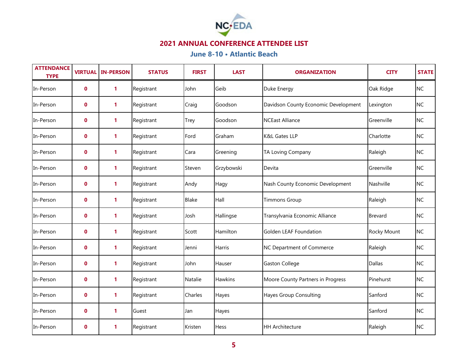

| <b>ATTENDANCE</b><br><b>TYPE</b> | <b>VIRTUAL</b> | <b>IN-PERSON</b> | <b>STATUS</b> | <b>FIRST</b> | <b>LAST</b>    | <b>ORGANIZATION</b>                  | <b>CITY</b>    | <b>STATE</b> |
|----------------------------------|----------------|------------------|---------------|--------------|----------------|--------------------------------------|----------------|--------------|
| In-Person                        | $\mathbf 0$    | $\mathbf{1}$     | Registrant    | John         | Geib           | Duke Energy                          | Oak Ridge      | <b>NC</b>    |
| In-Person                        | $\mathbf 0$    | 1                | Registrant    | Craig        | Goodson        | Davidson County Economic Development | Lexington      | <b>NC</b>    |
| In-Person                        | $\mathbf 0$    | 1                | Registrant    | Trey         | Goodson        | <b>NCEast Alliance</b>               | Greenville     | <b>NC</b>    |
| In-Person                        | 0              | $\mathbf{1}$     | Registrant    | Ford         | Graham         | K&L Gates LLP                        | Charlotte      | <b>NC</b>    |
| In-Person                        | $\mathbf 0$    | 1                | Registrant    | Cara         | Greening       | TA Loving Company                    | Raleigh        | <b>NC</b>    |
| In-Person                        | $\mathbf 0$    | $\mathbf{1}$     | Registrant    | Steven       | Grzybowski     | Devita                               | Greenville     | <b>NC</b>    |
| In-Person                        | $\mathbf{0}$   | $\mathbf{1}$     | Registrant    | Andy         | Hagy           | Nash County Economic Development     | Nashville      | <b>NC</b>    |
| In-Person                        | 0              | 1                | Registrant    | <b>Blake</b> | Hall           | <b>Timmons Group</b>                 | Raleigh        | <b>NC</b>    |
| In-Person                        | $\mathbf 0$    | $\mathbf{1}$     | Registrant    | Josh         | Hallingse      | Transylvania Economic Alliance       | <b>Brevard</b> | <b>NC</b>    |
| In-Person                        | $\mathbf 0$    | $\mathbf{1}$     | Registrant    | Scott        | Hamilton       | Golden LEAF Foundation               | Rocky Mount    | <b>NC</b>    |
| In-Person                        | $\mathbf 0$    | 1                | Registrant    | Jenni        | Harris         | NC Department of Commerce            | Raleigh        | <b>NC</b>    |
| In-Person                        | $\mathbf 0$    | 1                | Registrant    | John         | Hauser         | <b>Gaston College</b>                | Dallas         | <b>NC</b>    |
| In-Person                        | $\mathbf 0$    | 1                | Registrant    | Natalie      | <b>Hawkins</b> | Moore County Partners in Progress    | Pinehurst      | <b>NC</b>    |
| In-Person                        | $\mathbf 0$    | 1                | Registrant    | Charles      | Hayes          | Hayes Group Consulting               | Sanford        | <b>NC</b>    |
| In-Person                        | 0              | 1                | Guest         | Jan          | Hayes          |                                      | Sanford        | <b>NC</b>    |
| In-Person                        | $\mathbf 0$    | 1                | Registrant    | Kristen      | <b>Hess</b>    | <b>HH Architecture</b>               | Raleigh        | <b>NC</b>    |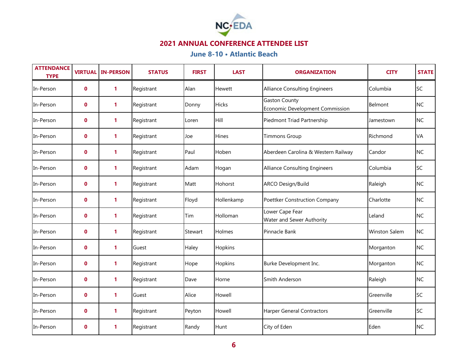

| <b>ATTENDANCE</b><br><b>TYPE</b> | <b>VIRTUAL</b> | <b>IN-PERSON</b> | <b>STATUS</b> | <b>FIRST</b> | <b>LAST</b>   | <b>ORGANIZATION</b>                                     | <b>CITY</b>          | <b>STATE</b> |
|----------------------------------|----------------|------------------|---------------|--------------|---------------|---------------------------------------------------------|----------------------|--------------|
| In-Person                        | $\mathbf{0}$   | $\mathbf{1}$     | Registrant    | Alan         | <b>Hewett</b> | <b>Alliance Consulting Engineers</b>                    | Columbia             | <b>SC</b>    |
| In-Person                        | $\mathbf 0$    | $\mathbf{1}$     | Registrant    | Donny        | <b>Hicks</b>  | <b>Gaston County</b><br>Economic Development Commission | Belmont              | <b>NC</b>    |
| In-Person                        | $\mathbf 0$    | 1                | Registrant    | Loren        | Hill          | Piedmont Triad Partnership                              | Jamestown            | <b>NC</b>    |
| In-Person                        | $\mathbf 0$    | 1                | Registrant    | Joe          | <b>Hines</b>  | <b>Timmons Group</b>                                    | Richmond             | VA           |
| In-Person                        | $\mathbf 0$    | 1                | Registrant    | Paul         | Hoben         | Aberdeen Carolina & Western Railway                     | Candor               | <b>NC</b>    |
| In-Person                        | $\mathbf{0}$   | $\mathbf{1}$     | Registrant    | Adam         | Hogan         | <b>Alliance Consulting Engineers</b>                    | Columbia             | <b>SC</b>    |
| In-Person                        | $\mathbf 0$    | $\mathbf{1}$     | Registrant    | Matt         | Hohorst       | <b>ARCO Design/Build</b>                                | Raleigh              | <b>NC</b>    |
| In-Person                        | 0              | 1                | Registrant    | Floyd        | Hollenkamp    | Poettker Construction Company                           | Charlotte            | <b>NC</b>    |
| In-Person                        | $\mathbf 0$    | 1                | Registrant    | Tim          | Holloman      | Lower Cape Fear<br>Water and Sewer Authority            | Leland               | <b>NC</b>    |
| In-Person                        | $\mathbf 0$    | 1                | Registrant    | Stewart      | Holmes        | Pinnacle Bank                                           | <b>Winston Salem</b> | <b>NC</b>    |
| In-Person                        | $\mathbf{0}$   | $\mathbf{1}$     | Guest         | Haley        | Hopkins       |                                                         | Morganton            | <b>NC</b>    |
| In-Person                        | $\mathbf{0}$   | 1                | Registrant    | Hope         | Hopkins       | Burke Development Inc.                                  | Morganton            | <b>NC</b>    |
| In-Person                        | 0              | 1                | Registrant    | Dave         | Horne         | Smith Anderson                                          | Raleigh              | <b>NC</b>    |
| In-Person                        | $\mathbf 0$    | 1                | Guest         | Alice        | Howell        |                                                         | Greenville           | <b>SC</b>    |
| In-Person                        | $\mathbf 0$    | 1                | Registrant    | Peyton       | Howell        | <b>Harper General Contractors</b>                       | Greenville           | <b>SC</b>    |
| In-Person                        | $\mathbf 0$    | 1                | Registrant    | Randy        | Hunt          | City of Eden                                            | Eden                 | <b>NC</b>    |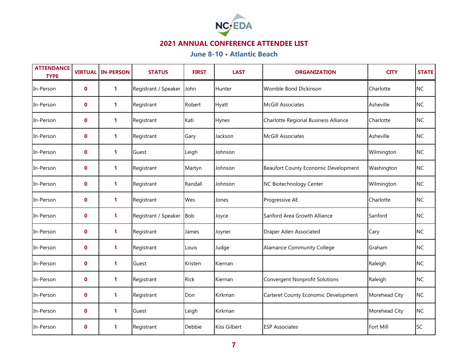

| <b>ATTENDANCE</b><br><b>TYPE</b> |              | <b>VIRTUAL IN-PERSON</b> | <b>STATUS</b>            | <b>FIRST</b> | <b>LAST</b>   | <b>ORGANIZATION</b>                   | <b>CITY</b>   | <b>STATE</b> |
|----------------------------------|--------------|--------------------------|--------------------------|--------------|---------------|---------------------------------------|---------------|--------------|
| In-Person                        | $\mathbf{0}$ | 1                        | Registrant / Speaker     | John         | <b>Hunter</b> | Womble Bond Dickinson                 | Charlotte     | <b>NC</b>    |
| In-Person                        | $\mathbf 0$  | $\mathbf{1}$             | Registrant               | Robert       | <b>Hyatt</b>  | <b>McGill Associates</b>              | Asheville     | <b>NC</b>    |
| In-Person                        | $\mathbf 0$  | 1                        | Registrant               | Kati         | Hynes         | Charlotte Regional Business Alliance  | Charlotte     | <b>NC</b>    |
| In-Person                        | $\mathbf 0$  | $\mathbf{1}$             | Registrant               | Gary         | Jackson       | <b>McGill Associates</b>              | Asheville     | <b>NC</b>    |
| In-Person                        | $\mathbf 0$  | 1                        | Guest                    | Leigh        | Johnson       |                                       | Wilmington    | <b>NC</b>    |
| In-Person                        | $\mathbf{0}$ | $\mathbf{1}$             | Registrant               | Martyn       | Johnson       | Beaufort County Economic Development  | Washington    | <b>NC</b>    |
| In-Person                        | $\mathbf 0$  | $\mathbf{1}$             | Registrant               | Randall      | Johnson       | NC Biotechnology Center               | Wilmington    | <b>NC</b>    |
| In-Person                        | 0            | 1                        | Registrant               | Wes          | Jones         | Progressive AE                        | Charlotte     | <b>NC</b>    |
| In-Person                        | 0            | $\mathbf{1}$             | Registrant / Speaker Bob |              | Joyce         | Sanford Area Growth Alliance          | Sanford       | <b>NC</b>    |
| In-Person                        | $\mathbf 0$  | 1                        | Registrant               | James        | Joyner        | Draper Aden Associated                | Cary          | <b>NC</b>    |
| In-Person                        | $\mathbf{0}$ | $\mathbf{1}$             | Registrant               | Louis        | Judge         | Alamance Community College            | Graham        | <b>NC</b>    |
| In-Person                        | $\mathbf{0}$ | 1                        | Guest                    | Kristen      | Kiernan       |                                       | Raleigh       | <b>NC</b>    |
| In-Person                        | 0            | 1                        | Registrant               | Rick         | Kiernan       | <b>Convergent Nonprofit Solutions</b> | Raleigh       | <b>NC</b>    |
| In-Person                        | 0            | 1                        | Registrant               | Don          | Kirkman       | Carteret County Economic Development  | Morehead City | <b>NC</b>    |
| In-Person                        | $\mathbf 0$  | 1                        | Guest                    | Leigh        | Kirkman       |                                       | Morehead City | <b>NC</b>    |
| In-Person                        | $\mathbf 0$  | 1                        | Registrant               | Debbie       | Kiss Gilbert  | <b>ESP Associates</b>                 | Fort Mill     | <b>SC</b>    |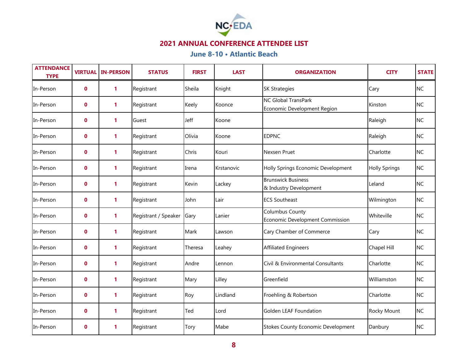

| <b>ATTENDANCE</b><br><b>TYPE</b> | <b>VIRTUAL</b> | <b>IN-PERSON</b> | <b>STATUS</b>        | <b>FIRST</b> | <b>LAST</b> | <b>ORGANIZATION</b>                                       | <b>CITY</b>          | <b>STATE</b> |
|----------------------------------|----------------|------------------|----------------------|--------------|-------------|-----------------------------------------------------------|----------------------|--------------|
| In-Person                        | $\mathbf 0$    | $\mathbf{1}$     | Registrant           | Sheila       | Knight      | <b>SK Strategies</b>                                      | Cary                 | <b>NC</b>    |
| In-Person                        | $\mathbf 0$    | 1                | Registrant           | Keely        | Koonce      | <b>NC Global TransPark</b><br>Economic Development Region | Kinston              | <b>NC</b>    |
| In-Person                        | $\mathbf 0$    | 1                | Guest                | Jeff         | Koone       |                                                           | Raleigh              | <b>NC</b>    |
| In-Person                        | $\mathbf 0$    | $\mathbf{1}$     | Registrant           | Olivia       | Koone       | <b>EDPNC</b>                                              | Raleigh              | <b>NC</b>    |
| In-Person                        | 0              | 1                | Registrant           | Chris        | Kouri       | Nexsen Pruet                                              | Charlotte            | <b>NC</b>    |
| In-Person                        | $\mathbf 0$    | $\mathbf{1}$     | Registrant           | Irena        | Krstanovic  | Holly Springs Economic Development                        | <b>Holly Springs</b> | <b>NC</b>    |
| In-Person                        | $\mathbf 0$    | 1                | Registrant           | Kevin        | Lackey      | <b>Brunswick Business</b><br>& Industry Development       | Leland               | <b>NC</b>    |
| In-Person                        | $\mathbf 0$    | 1                | Registrant           | John         | Lair        | <b>ECS Southeast</b>                                      | Wilmington           | <b>NC</b>    |
| In-Person                        | $\mathbf 0$    | $\mathbf{1}$     | Registrant / Speaker | Gary         | Lanier      | Columbus County<br>Economic Development Commission        | Whiteville           | <b>NC</b>    |
| In-Person                        | $\mathbf 0$    | 1                | Registrant           | Mark         | Lawson      | Cary Chamber of Commerce                                  | Cary                 | <b>NC</b>    |
| In-Person                        | $\mathbf 0$    | $\mathbf{1}$     | Registrant           | Theresa      | Leahey      | <b>Affiliated Engineers</b>                               | Chapel Hill          | <b>NC</b>    |
| In-Person                        | $\mathbf 0$    | 1                | Registrant           | Andre        | Lennon      | Civil & Environmental Consultants                         | Charlotte            | <b>NC</b>    |
| In-Person                        | $\mathbf 0$    | $\mathbf{1}$     | Registrant           | Mary         | Lilley      | Greenfield                                                | Williamston          | <b>NC</b>    |
| In-Person                        | 0              | $\mathbf{1}$     | Registrant           | Roy          | Lindland    | Froehling & Robertson                                     | Charlotte            | <b>NC</b>    |
| In-Person                        | 0              | 1                | Registrant           | Ted          | Lord        | Golden LEAF Foundation                                    | Rocky Mount          | <b>NC</b>    |
| In-Person                        | $\mathbf 0$    | 1                | Registrant           | Tory         | Mabe        | <b>Stokes County Economic Development</b>                 | Danbury              | <b>NC</b>    |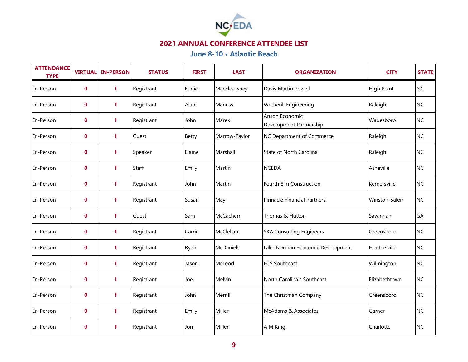

| <b>ATTENDANCE</b><br><b>TYPE</b> | <b>VIRTUAL</b> | <b>IN-PERSON</b> | <b>STATUS</b> | <b>FIRST</b> | <b>LAST</b>      | <b>ORGANIZATION</b>                       | <b>CITY</b>       | <b>STATE</b> |
|----------------------------------|----------------|------------------|---------------|--------------|------------------|-------------------------------------------|-------------------|--------------|
| In-Person                        | $\mathbf{0}$   | $\mathbf{1}$     | Registrant    | Eddie        | MacEldowney      | Davis Martin Powell                       | <b>High Point</b> | <b>NC</b>    |
| In-Person                        | $\mathbf 0$    | $\mathbf{1}$     | Registrant    | Alan         | Maness           | <b>Wetherill Engineering</b>              | Raleigh           | <b>NC</b>    |
| In-Person                        | $\mathbf 0$    | 1                | Registrant    | John         | Marek            | Anson Economic<br>Development Partnership | Wadesboro         | <b>NC</b>    |
| In-Person                        | $\mathbf 0$    | $\mathbf{1}$     | Guest         | Betty        | Marrow-Taylor    | NC Department of Commerce                 | Raleigh           | <b>NC</b>    |
| In-Person                        | $\mathbf 0$    | $\mathbf{1}$     | Speaker       | Elaine       | Marshall         | <b>State of North Carolina</b>            | Raleigh           | <b>NC</b>    |
| In-Person                        | $\mathbf{0}$   | $\mathbf{1}$     | Staff         | Emily        | Martin           | <b>NCEDA</b>                              | Asheville         | <b>NC</b>    |
| In-Person                        | $\mathbf 0$    | $\mathbf{1}$     | Registrant    | John         | Martin           | Fourth Elm Construction                   | Kernersville      | <b>NC</b>    |
| In-Person                        | 0              | $\mathbf{1}$     | Registrant    | Susan        | May              | Pinnacle Financial Partners               | Winston-Salem     | <b>NC</b>    |
| In-Person                        | $\mathbf 0$    | $\mathbf{1}$     | Guest         | Sam          | McCachern        | Thomas & Hutton                           | Savannah          | GA           |
| In-Person                        | $\mathbf 0$    | 1                | Registrant    | Carrie       | McClellan        | <b>SKA Consulting Engineers</b>           | Greensboro        | <b>NC</b>    |
| In-Person                        | $\mathbf{0}$   | $\mathbf{1}$     | Registrant    | Ryan         | <b>McDaniels</b> | Lake Norman Economic Development          | Huntersville      | <b>NC</b>    |
| In-Person                        | $\mathbf{0}$   | $\mathbf{1}$     | Registrant    | Jason        | McLeod           | <b>ECS Southeast</b>                      | Wilmington        | <b>NC</b>    |
| In-Person                        | 0              | $\mathbf{1}$     | Registrant    | Joe          | Melvin           | North Carolina's Southeast                | Elizabethtown     | <b>NC</b>    |
| In-Person                        | $\mathbf 0$    | $\mathbf{1}$     | Registrant    | John         | Merrill          | The Christman Company                     | Greensboro        | <b>NC</b>    |
| In-Person                        | $\mathbf 0$    | 1                | Registrant    | Emily        | Miller           | McAdams & Associates                      | Garner            | <b>NC</b>    |
| In-Person                        | $\mathbf 0$    | $\mathbf{1}$     | Registrant    | Jon          | Miller           | A M King                                  | Charlotte         | <b>NC</b>    |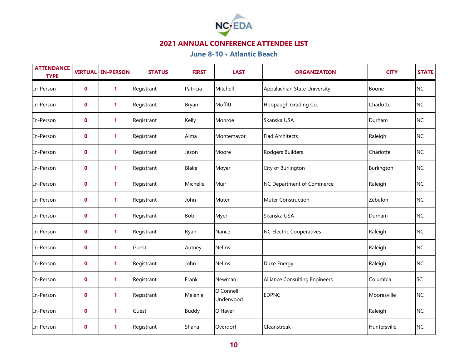

| <b>ATTENDANCE</b><br><b>TYPE</b> | <b>VIRTUAL</b> | <b>IN-PERSON</b> | <b>STATUS</b> | <b>FIRST</b> | <b>LAST</b>            | <b>ORGANIZATION</b>                  | <b>CITY</b>  | <b>STATE</b> |
|----------------------------------|----------------|------------------|---------------|--------------|------------------------|--------------------------------------|--------------|--------------|
| In-Person                        | $\mathbf 0$    | $\mathbf{1}$     | Registrant    | Patricia     | Mitchell               | Appalachian State University         | Boone        | <b>NC</b>    |
| In-Person                        | $\mathbf{0}$   | $\mathbf{1}$     | Registrant    | Bryan        | Moffitt                | Hoopaugh Grading Co.                 | Charlotte    | <b>NC</b>    |
| In-Person                        | 0              | $\mathbf{1}$     | Registrant    | Kelly        | Monroe                 | Skanska USA                          | Durham       | <b>NC</b>    |
| In-Person                        | $\mathbf 0$    | 1                | Registrant    | Alma         | Montemayor             | <b>Flad Architects</b>               | Raleigh      | <b>NC</b>    |
| In-Person                        | $\mathbf 0$    | 1                | Registrant    | Jason        | Moore                  | Rodgers Builders                     | Charlotte    | <b>NC</b>    |
| In-Person                        | 0              | $\mathbf{1}$     | Registrant    | <b>Blake</b> | Moyer                  | City of Burlington                   | Burlington   | <b>NC</b>    |
| In-Person                        | $\mathbf 0$    | 1                | Registrant    | Michelle     | Muir                   | NC Department of Commerce            | Raleigh      | <b>NC</b>    |
| In-Person                        | $\mathbf 0$    | 1                | Registrant    | John         | Muter                  | Muter Construction                   | Zebulon      | <b>NC</b>    |
| In-Person                        | 0              | $\mathbf{1}$     | Registrant    | Bob          | Myer                   | Skanska USA                          | Durham       | <b>NC</b>    |
| In-Person                        | $\mathbf 0$    | 1                | Registrant    | Ryan         | Nance                  | <b>NC Electric Cooperatives</b>      | Raleigh      | <b>NC</b>    |
| In-Person                        | $\mathbf 0$    | $\mathbf{1}$     | Guest         | Autney       | <b>Nelms</b>           |                                      | Raleigh      | <b>NC</b>    |
| In-Person                        | $\mathbf 0$    | 1                | Registrant    | John         | Nelms                  | Duke Energy                          | Raleigh      | <b>NC</b>    |
| In-Person                        | $\mathbf 0$    | 1                | Registrant    | Frank        | Newman                 | <b>Alliance Consulting Engineers</b> | Columbia     | SC           |
| In-Person                        | $\mathbf 0$    | $\mathbf{1}$     | Registrant    | Melanie      | O'Connell<br>Underwood | <b>EDPNC</b>                         | Mooresville  | <b>NC</b>    |
| In-Person                        | 0              | 1                | Guest         | <b>Buddy</b> | O'Haver                |                                      | Raleigh      | <b>NC</b>    |
| In-Person                        | $\mathbf 0$    | 1                | Registrant    | Shana        | Overdorf               | Cleanstreak                          | Huntersville | <b>NC</b>    |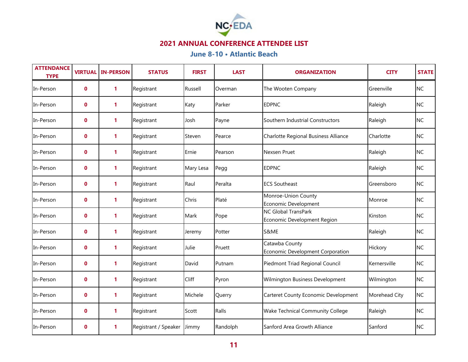

| <b>ATTENDANCE</b><br><b>TYPE</b> | <b>VIRTUAL</b> | <b>IN-PERSON</b> | <b>STATUS</b>        | <b>FIRST</b> | <b>LAST</b> | <b>ORGANIZATION</b>                                       | <b>CITY</b>   | <b>STATE</b> |
|----------------------------------|----------------|------------------|----------------------|--------------|-------------|-----------------------------------------------------------|---------------|--------------|
| In-Person                        | $\mathbf 0$    | $\mathbf{1}$     | Registrant           | Russell      | Overman     | The Wooten Company                                        | Greenville    | <b>NC</b>    |
| In-Person                        | $\mathbf 0$    | 1                | Registrant           | Katy         | Parker      | <b>EDPNC</b>                                              | Raleigh       | <b>NC</b>    |
| In-Person                        | $\mathbf 0$    | 1                | Registrant           | Josh         | Payne       | Southern Industrial Constructors                          | Raleigh       | <b>NC</b>    |
| In-Person                        | 0              | $\mathbf{1}$     | Registrant           | Steven       | Pearce      | Charlotte Regional Business Alliance                      | Charlotte     | <b>NC</b>    |
| In-Person                        | $\mathbf 0$    | 1                | Registrant           | Ernie        | Pearson     | Nexsen Pruet                                              | Raleigh       | <b>NC</b>    |
| In-Person                        | $\mathbf 0$    | $\mathbf{1}$     | Registrant           | Mary Lesa    | Pegg        | <b>EDPNC</b>                                              | Raleigh       | <b>NC</b>    |
| In-Person                        | $\mathbf{0}$   | $\mathbf{1}$     | Registrant           | Raul         | Peralta     | <b>ECS Southeast</b>                                      | Greensboro    | <b>NC</b>    |
| In-Person                        | 0              | 1                | Registrant           | Chris        | Platé       | Monroe-Union County<br>Economic Development               | Monroe        | <b>NC</b>    |
| In-Person                        | $\mathbf 0$    | $\mathbf{1}$     | Registrant           | Mark         | Pope        | <b>NC Global TransPark</b><br>Economic Development Region | Kinston       | <b>NC</b>    |
| In-Person                        | $\mathbf 0$    | 1                | Registrant           | Jeremy       | Potter      | S&ME                                                      | Raleigh       | <b>NC</b>    |
| In-Person                        | $\mathbf 0$    | $\mathbf{1}$     | Registrant           | Julie        | Pruett      | Catawba County<br>Economic Development Corporation        | Hickory       | <b>NC</b>    |
| In-Person                        | $\mathbf 0$    | 1                | Registrant           | David        | Putnam      | Piedmont Triad Regional Council                           | Kernersville  | <b>NC</b>    |
| In-Person                        | $\mathbf 0$    | 1                | Registrant           | Cliff        | Pyron       | Wilmington Business Development                           | Wilmington    | <b>NC</b>    |
| In-Person                        | $\mathbf 0$    | 1                | Registrant           | Michele      | Querry      | Carteret County Economic Development                      | Morehead City | <b>NC</b>    |
| In-Person                        | 0              | 1                | Registrant           | Scott        | Ralls       | Wake Technical Community College                          | Raleigh       | <b>NC</b>    |
| In-Person                        | $\mathbf 0$    | 1                | Registrant / Speaker | Jimmy        | Randolph    | Sanford Area Growth Alliance                              | Sanford       | <b>NC</b>    |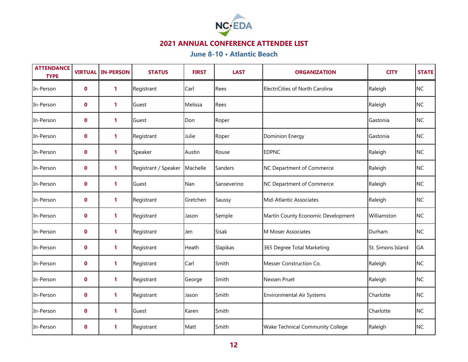

| <b>ATTENDANCE</b><br><b>TYPE</b> | <b>VIRTUAL</b> | <b>IN-PERSON</b> | <b>STATUS</b>                   | <b>FIRST</b> | <b>LAST</b>  | <b>ORGANIZATION</b>                | <b>CITY</b>       | <b>STATE</b> |
|----------------------------------|----------------|------------------|---------------------------------|--------------|--------------|------------------------------------|-------------------|--------------|
| In-Person                        | $\bf{0}$       | $\mathbf{1}$     | Registrant                      | Carl         | Rees         | ElectriCities of North Carolina    | Raleigh           | <b>NC</b>    |
| In-Person                        | $\mathbf 0$    | 1                | Guest                           | Melissa      | Rees         |                                    | Raleigh           | <b>NC</b>    |
| In-Person                        | $\mathbf 0$    | 1                | Guest                           | Don          | Roper        |                                    | Gastonia          | <b>NC</b>    |
| In-Person                        | $\mathbf 0$    | 1                | Registrant                      | Julie        | Roper        | <b>Dominion Energy</b>             | Gastonia          | <b>NC</b>    |
| In-Person                        | $\mathbf 0$    | 1                | Speaker                         | Austin       | Rouse        | <b>EDPNC</b>                       | Raleigh           | <b>NC</b>    |
| In-Person                        | $\mathbf{0}$   | $\mathbf{1}$     | Registrant / Speaker   Machelle |              | Sanders      | NC Department of Commerce          | Raleigh           | <b>NC</b>    |
| In-Person                        | $\mathbf{0}$   | 1                | Guest                           | Nan          | Sanseverino  | NC Department of Commerce          | Raleigh           | <b>NC</b>    |
| In-Person                        | 0              | 1                | Registrant                      | Gretchen     | Saussy       | Mid-Atlantic Associates            | Raleigh           | <b>NC</b>    |
| In-Person                        | $\mathbf 0$    | 1                | Registrant                      | Jason        | Semple       | Martin County Economic Development | Williamston       | <b>NC</b>    |
| In-Person                        | $\mathbf 0$    | 1                | Registrant                      | Jen          | <b>Sisak</b> | M Moser Associates                 | Durham            | <b>NC</b>    |
| In-Person                        | $\mathbf{0}$   | $\mathbf{1}$     | Registrant                      | Heath        | Slapikas     | 365 Degree Total Marketing         | St. Simons Island | GA           |
| In-Person                        | $\mathbf{0}$   | 1                | Registrant                      | Carl         | Smith        | Messer Construction Co.            | Raleigh           | <b>NC</b>    |
| In-Person                        | 0              | 1                | Registrant                      | George       | Smith        | Nexsen Pruet                       | Raleigh           | <b>NC</b>    |
| In-Person                        | $\mathbf 0$    | 1                | Registrant                      | Jason        | Smith        | <b>Environmental Air Systems</b>   | Charlotte         | <b>NC</b>    |
| In-Person                        | $\mathbf 0$    | 1                | Guest                           | Karen        | Smith        |                                    | Charlotte         | <b>NC</b>    |
| In-Person                        | $\mathbf 0$    | 1                | Registrant                      | Matt         | Smith        | Wake Technical Community College   | Raleigh           | <b>NC</b>    |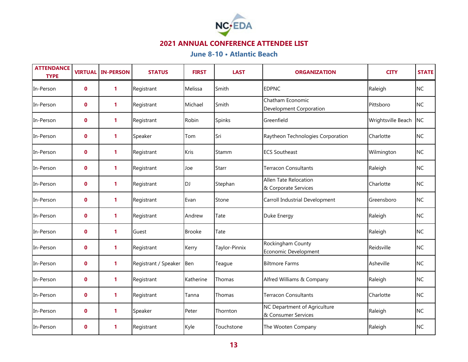

| <b>ATTENDANCE</b><br><b>TYPE</b> | <b>VIRTUAL</b> | <b>IN-PERSON</b> | <b>STATUS</b>        | <b>FIRST</b>  | <b>LAST</b>   | <b>ORGANIZATION</b>                                 | <b>CITY</b>        | <b>STATE</b> |
|----------------------------------|----------------|------------------|----------------------|---------------|---------------|-----------------------------------------------------|--------------------|--------------|
| In-Person                        | $\mathbf 0$    | $\mathbf{1}$     | Registrant           | Melissa       | Smith         | <b>EDPNC</b>                                        | Raleigh            | <b>NC</b>    |
| In-Person                        | $\mathbf 0$    | 1                | Registrant           | Michael       | Smith         | Chatham Economic<br>Development Corporation         | Pittsboro          | <b>NC</b>    |
| In-Person                        | $\mathbf 0$    | 1                | Registrant           | Robin         | Spinks        | Greenfield                                          | Wrightsville Beach | <b>NC</b>    |
| In-Person                        | $\mathbf 0$    | $\mathbf{1}$     | Speaker              | Tom           | Sri           | Raytheon Technologies Corporation                   | Charlotte          | <b>NC</b>    |
| In-Person                        | $\mathbf 0$    | 1                | Registrant           | Kris          | Stamm         | <b>ECS Southeast</b>                                | Wilmington         | <b>NC</b>    |
| In-Person                        | $\mathbf{0}$   | 1                | Registrant           | Joe           | Starr         | <b>Terracon Consultants</b>                         | Raleigh            | <b>NC</b>    |
| In-Person                        | $\mathbf 0$    | $\mathbf{1}$     | Registrant           | DJ            | Stephan       | Allen Tate Relocation<br>& Corporate Services       | Charlotte          | <b>NC</b>    |
| In-Person                        | 0              | $\mathbf{1}$     | Registrant           | Evan          | Stone         | Carroll Industrial Development                      | Greensboro         | <b>NC</b>    |
| In-Person                        | $\mathbf 0$    | $\mathbf{1}$     | Registrant           | Andrew        | Tate          | Duke Energy                                         | Raleigh            | <b>NC</b>    |
| In-Person                        | $\mathbf 0$    | $\mathbf{1}$     | Guest                | <b>Brooke</b> | Tate          |                                                     | Raleigh            | <b>NC</b>    |
| In-Person                        | $\mathbf 0$    | $\mathbf{1}$     | Registrant           | Kerry         | Taylor-Pinnix | Rockingham County<br>Economic Development           | Reidsville         | <b>NC</b>    |
| In-Person                        | $\mathbf 0$    | 1                | Registrant / Speaker | Ben           | Teague        | <b>Biltmore Farms</b>                               | Asheville          | <b>NC</b>    |
| In-Person                        | $\mathbf 0$    | 1                | Registrant           | Katherine     | Thomas        | Alfred Williams & Company                           | Raleigh            | <b>NC</b>    |
| In-Person                        | $\mathbf 0$    | $\mathbf{1}$     | Registrant           | Tanna         | Thomas        | <b>Terracon Consultants</b>                         | Charlotte          | <b>NC</b>    |
| In-Person                        | $\mathbf 0$    | 1                | Speaker              | Peter         | Thornton      | NC Department of Agriculture<br>& Consumer Services | Raleigh            | <b>NC</b>    |
| In-Person                        | $\mathbf{0}$   | 1                | Registrant           | Kyle          | Touchstone    | The Wooten Company                                  | Raleigh            | <b>NC</b>    |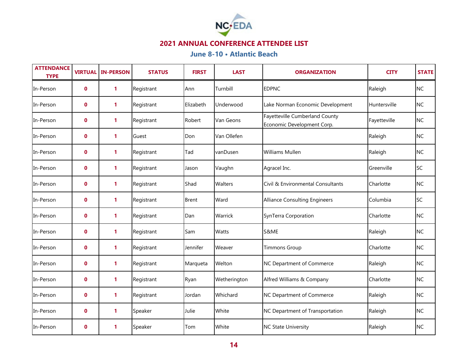

| <b>ATTENDANCE</b><br><b>TYPE</b> | <b>VIRTUAL</b> | <b>IN-PERSON</b> | <b>STATUS</b> | <b>FIRST</b> | <b>LAST</b>    | <b>ORGANIZATION</b>                                          | <b>CITY</b>  | <b>STATE</b> |
|----------------------------------|----------------|------------------|---------------|--------------|----------------|--------------------------------------------------------------|--------------|--------------|
| In-Person                        | $\mathbf 0$    | $\mathbf{1}$     | Registrant    | Ann          | Turnbill       | <b>EDPNC</b>                                                 | Raleigh      | <b>NC</b>    |
| In-Person                        | $\mathbf 0$    | 1                | Registrant    | Elizabeth    | Underwood      | Lake Norman Economic Development                             | Huntersville | <b>NC</b>    |
| In-Person                        | $\mathbf 0$    | 1                | Registrant    | Robert       | Van Geons      | Fayetteville Cumberland County<br>Economic Development Corp. | Fayetteville | <b>NC</b>    |
| In-Person                        | 0              | 1                | Guest         | Don          | Van Ollefen    |                                                              | Raleigh      | <b>NC</b>    |
| In-Person                        | $\mathbf 0$    | 1                | Registrant    | Tad          | vanDusen       | Williams Mullen                                              | Raleigh      | <b>NC</b>    |
| In-Person                        | $\mathbf 0$    | $\mathbf{1}$     | Registrant    | Jason        | Vaughn         | Agracel Inc.                                                 | Greenville   | <b>SC</b>    |
| In-Person                        | $\mathbf{0}$   | 1                | Registrant    | Shad         | <b>Walters</b> | Civil & Environmental Consultants                            | Charlotte    | <b>NC</b>    |
| In-Person                        | 0              | 1                | Registrant    | <b>Brent</b> | Ward           | <b>Alliance Consulting Engineers</b>                         | Columbia     | <b>SC</b>    |
| In-Person                        | $\mathbf 0$    | $\mathbf{1}$     | Registrant    | Dan          | Warrick        | SynTerra Corporation                                         | Charlotte    | <b>NC</b>    |
| In-Person                        | $\mathbf 0$    | 1                | Registrant    | Sam          | <b>Watts</b>   | S&ME                                                         | Raleigh      | <b>NC</b>    |
| In-Person                        | $\mathbf 0$    | $\mathbf{1}$     | Registrant    | Jennifer     | Weaver         | <b>Timmons Group</b>                                         | Charlotte    | <b>NC</b>    |
| In-Person                        | $\mathbf 0$    | 1                | Registrant    | Marqueta     | Welton         | NC Department of Commerce                                    | Raleigh      | <b>NC</b>    |
| In-Person                        | $\mathbf 0$    | 1                | Registrant    | Ryan         | Wetherington   | Alfred Williams & Company                                    | Charlotte    | <b>NC</b>    |
| In-Person                        | $\mathbf 0$    | 1                | Registrant    | Jordan       | Whichard       | NC Department of Commerce                                    | Raleigh      | <b>NC</b>    |
| In-Person                        | 0              | 1                | Speaker       | Julie        | White          | NC Department of Transportation                              | Raleigh      | <b>NC</b>    |
| In-Person                        | $\mathbf 0$    | 1                | Speaker       | Tom          | White          | <b>NC State University</b>                                   | Raleigh      | <b>NC</b>    |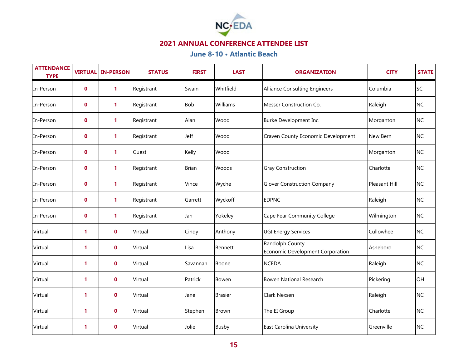

| <b>ATTENDANCE</b><br><b>TYPE</b> | <b>VIRTUAL</b> | <b>IN-PERSON</b> | <b>STATUS</b> | <b>FIRST</b> | <b>LAST</b>    | <b>ORGANIZATION</b>                                 | <b>CITY</b>   | <b>STATE</b> |
|----------------------------------|----------------|------------------|---------------|--------------|----------------|-----------------------------------------------------|---------------|--------------|
| In-Person                        | $\mathbf 0$    | $\mathbf{1}$     | Registrant    | Swain        | Whitfield      | <b>Alliance Consulting Engineers</b>                | Columbia      | <b>SC</b>    |
| In-Person                        | $\mathbf 0$    | 1                | Registrant    | <b>Bob</b>   | Williams       | Messer Construction Co.                             | Raleigh       | <b>NC</b>    |
| In-Person                        | $\mathbf 0$    | 1                | Registrant    | Alan         | Wood           | Burke Development Inc.                              | Morganton     | <b>NC</b>    |
| In-Person                        | 0              | $\mathbf{1}$     | Registrant    | Jeff         | Wood           | Craven County Economic Development                  | New Bern      | <b>NC</b>    |
| In-Person                        | $\mathbf 0$    | 1                | Guest         | Kelly        | Wood           |                                                     | Morganton     | <b>NC</b>    |
| In-Person                        | $\mathbf{0}$   | $\mathbf{1}$     | Registrant    | <b>Brian</b> | Woods          | <b>Gray Construction</b>                            | Charlotte     | <b>NC</b>    |
| In-Person                        | $\mathbf{0}$   | $\mathbf{1}$     | Registrant    | Vince        | Wyche          | <b>Glover Construction Company</b>                  | Pleasant Hill | <b>NC</b>    |
| In-Person                        | 0              | 1                | Registrant    | Garrett      | Wyckoff        | <b>EDPNC</b>                                        | Raleigh       | <b>NC</b>    |
| In-Person                        | $\mathbf 0$    | $\mathbf{1}$     | Registrant    | Jan          | Yokeley        | Cape Fear Community College                         | Wilmington    | <b>NC</b>    |
| Virtual                          | 1              | $\mathbf 0$      | Virtual       | Cindy        | Anthony        | <b>UGI Energy Services</b>                          | Cullowhee     | <b>NC</b>    |
| Virtual                          | 1              | $\mathbf 0$      | Virtual       | Lisa         | Bennett        | Randolph County<br>Economic Development Corporation | Asheboro      | <b>NC</b>    |
| Virtual                          | 1              | $\mathbf 0$      | Virtual       | Savannah     | Boone          | <b>NCEDA</b>                                        | Raleigh       | <b>NC</b>    |
| Virtual                          | 1              | $\mathbf 0$      | Virtual       | Patrick      | Bowen          | <b>Bowen National Research</b>                      | Pickering     | OH           |
| Virtual                          | $\mathbf{1}$   | $\mathbf 0$      | Virtual       | Jane         | <b>Brasier</b> | Clark Nexsen                                        | Raleigh       | <b>NC</b>    |
| Virtual                          | $\mathbf{1}$   | $\mathbf 0$      | Virtual       | Stephen      | <b>Brown</b>   | The EI Group                                        | Charlotte     | <b>NC</b>    |
| Virtual                          | 1              | $\mathbf 0$      | Virtual       | Jolie        | <b>Busby</b>   | <b>East Carolina University</b>                     | Greenville    | <b>NC</b>    |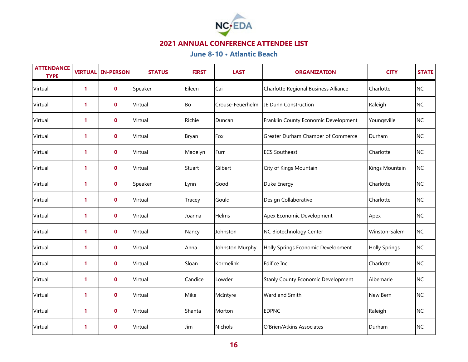

| <b>ATTENDANCE</b><br><b>TYPE</b> | <b>VIRTUAL</b> | <b>IN-PERSON</b> | <b>STATUS</b> | <b>FIRST</b> | <b>LAST</b>      | <b>ORGANIZATION</b>                  | <b>CITY</b>          | <b>STATE</b> |
|----------------------------------|----------------|------------------|---------------|--------------|------------------|--------------------------------------|----------------------|--------------|
| Virtual                          | $\mathbf{1}$   | $\mathbf 0$      | Speaker       | Eileen       | Cai              | Charlotte Regional Business Alliance | Charlotte            | <b>NC</b>    |
| Virtual                          | 1              | $\mathbf 0$      | Virtual       | Bo           | Crouse-Feuerhelm | JE Dunn Construction                 | Raleigh              | <b>NC</b>    |
| Virtual                          | 1              | $\mathbf 0$      | Virtual       | Richie       | Duncan           | Franklin County Economic Development | Youngsville          | <b>NC</b>    |
| Virtual                          | 1              | $\mathbf 0$      | Virtual       | Bryan        | Fox              | Greater Durham Chamber of Commerce   | Durham               | <b>NC</b>    |
| Virtual                          | 1              | $\mathbf 0$      | Virtual       | Madelyn      | Furr             | <b>ECS Southeast</b>                 | Charlotte            | <b>NC</b>    |
| Virtual                          | $\mathbf{1}$   | $\mathbf 0$      | Virtual       | Stuart       | Gilbert          | City of Kings Mountain               | Kings Mountain       | <b>NC</b>    |
| Virtual                          | 1              | $\mathbf 0$      | Speaker       | Lynn         | Good             | Duke Energy                          | Charlotte            | <b>NC</b>    |
| Virtual                          | 1              | $\mathbf 0$      | Virtual       | Tracey       | Gould            | Design Collaborative                 | Charlotte            | <b>NC</b>    |
| Virtual                          | $\mathbf{1}$   | $\mathbf 0$      | Virtual       | Joanna       | Helms            | Apex Economic Development            | Apex                 | <b>NC</b>    |
| Virtual                          | 1              | $\mathbf 0$      | Virtual       | Nancy        | Johnston         | NC Biotechnology Center              | Winston-Salem        | <b>NC</b>    |
| Virtual                          | 1              | $\mathbf 0$      | Virtual       | Anna         | Johnston Murphy  | Holly Springs Economic Development   | <b>Holly Springs</b> | <b>NC</b>    |
| Virtual                          | $\mathbf{1}$   | $\mathbf 0$      | Virtual       | Sloan        | Kormelink        | Edifice Inc.                         | Charlotte            | <b>NC</b>    |
| Virtual                          | 1              | $\mathbf 0$      | Virtual       | Candice      | Lowder           | Stanly County Economic Development   | Albemarle            | <b>NC</b>    |
| Virtual                          | 1              | $\mathbf 0$      | Virtual       | Mike         | McIntyre         | Ward and Smith                       | New Bern             | <b>NC</b>    |
| Virtual                          | 1              | $\mathbf 0$      | Virtual       | Shanta       | Morton           | <b>EDPNC</b>                         | Raleigh              | <b>NC</b>    |
| Virtual                          | 1              | $\mathbf 0$      | Virtual       | Jim          | <b>Nichols</b>   | O'Brien/Atkins Associates            | Durham               | <b>NC</b>    |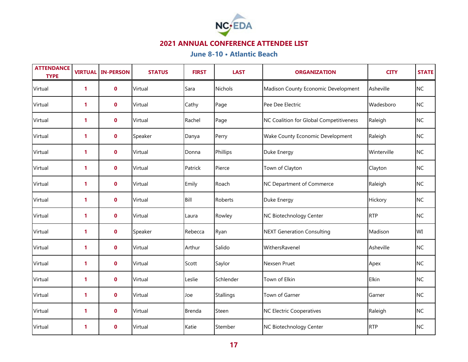

| <b>ATTENDANCE</b><br><b>TYPE</b> | <b>VIRTUAL</b> | <b>IN-PERSON</b> | <b>STATUS</b> | <b>FIRST</b> | <b>LAST</b>      | <b>ORGANIZATION</b>                     | <b>CITY</b> | <b>STATE</b> |
|----------------------------------|----------------|------------------|---------------|--------------|------------------|-----------------------------------------|-------------|--------------|
| Virtual                          | $\mathbf{1}$   | $\mathbf 0$      | Virtual       | Sara         | <b>Nichols</b>   | Madison County Economic Development     | Asheville   | <b>NC</b>    |
| Virtual                          | 1              | $\mathbf 0$      | Virtual       | Cathy        | Page             | Pee Dee Electric                        | Wadesboro   | <b>NC</b>    |
| Virtual                          | 1              | $\mathbf 0$      | Virtual       | Rachel       | Page             | NC Coalition for Global Competitiveness | Raleigh     | <b>NC</b>    |
| Virtual                          | $\mathbf{1}$   | $\mathbf 0$      | Speaker       | Danya        | Perry            | Wake County Economic Development        | Raleigh     | <b>NC</b>    |
| Virtual                          | 1              | $\mathbf 0$      | Virtual       | Donna        | Phillips         | Duke Energy                             | Winterville | <b>NC</b>    |
| Virtual                          | 1              | $\mathbf 0$      | Virtual       | Patrick      | Pierce           | Town of Clayton                         | Clayton     | <b>NC</b>    |
| Virtual                          | $\mathbf{1}$   | $\mathbf 0$      | Virtual       | Emily        | Roach            | NC Department of Commerce               | Raleigh     | <b>NC</b>    |
| Virtual                          | 1              | $\mathbf 0$      | Virtual       | Bill         | Roberts          | Duke Energy                             | Hickory     | <b>NC</b>    |
| Virtual                          | $\mathbf{1}$   | $\mathbf 0$      | Virtual       | Laura        | Rowley           | NC Biotechnology Center                 | <b>RTP</b>  | <b>NC</b>    |
| Virtual                          | 1              | $\mathbf 0$      | Speaker       | Rebecca      | Ryan             | <b>NEXT Generation Consulting</b>       | Madison     | WI           |
| Virtual                          | $\mathbf{1}$   | $\mathbf 0$      | Virtual       | Arthur       | Salido           | WithersRavenel                          | Asheville   | <b>NC</b>    |
| Virtual                          | 1              | $\mathbf 0$      | Virtual       | Scott        | Saylor           | Nexsen Pruet                            | Apex        | <b>NC</b>    |
| Virtual                          | $\mathbf{1}$   | $\mathbf 0$      | Virtual       | Leslie       | Schlender        | Town of Elkin                           | Elkin       | <b>NC</b>    |
| Virtual                          | 1              | $\mathbf 0$      | Virtual       | Joe          | <b>Stallings</b> | Town of Garner                          | Garner      | <b>NC</b>    |
| Virtual                          | 1              | $\mathbf 0$      | Virtual       | Brenda       | Steen            | <b>NC Electric Cooperatives</b>         | Raleigh     | <b>NC</b>    |
| Virtual                          | 1              | $\mathbf 0$      | Virtual       | Katie        | Stember          | NC Biotechnology Center                 | <b>RTP</b>  | <b>NC</b>    |